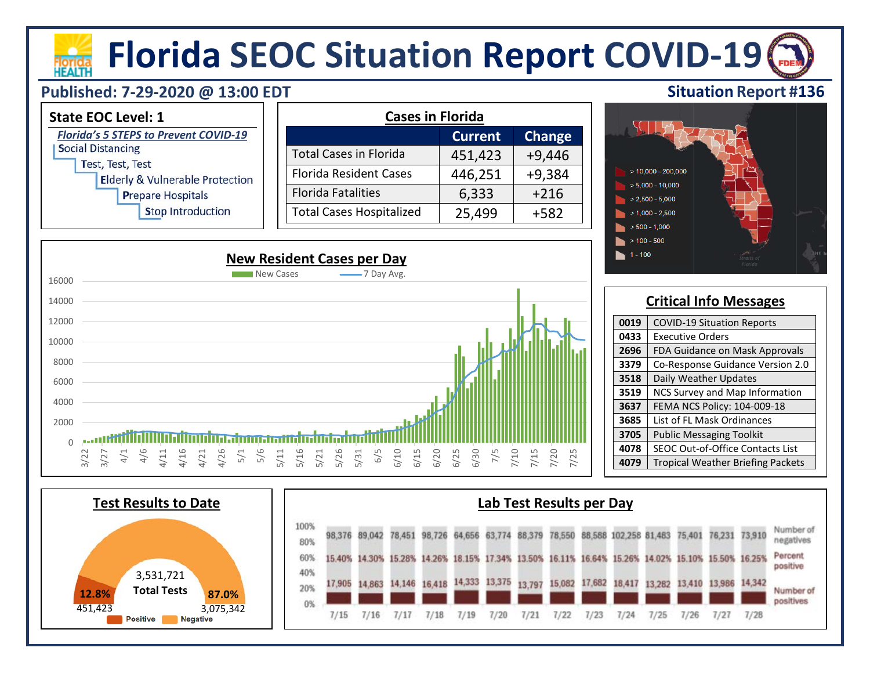# **Florida SEOC Situation Report COVID-19**

## **Published: 7-29-2020 @ 13:00 EDT**

HEAITI







 $1 - 100$ 

**Situation Report #136**

| 0019 | <b>COVID-19 Situation Reports</b>        |
|------|------------------------------------------|
| 0433 | <b>Executive Orders</b>                  |
| 2696 | FDA Guidance on Mask Approvals           |
| 3379 | Co-Response Guidance Version 2.0         |
| 3518 | Daily Weather Updates                    |
| 3519 | NCS Survey and Map Information           |
| 3637 | FEMA NCS Policy: 104-009-18              |
| 3685 | List of FL Mask Ordinances               |
| 3705 | <b>Public Messaging Toolkit</b>          |
| 4078 | SEOC Out-of-Office Contacts List         |
| 4079 | <b>Tropical Weather Briefing Packets</b> |
|      |                                          |

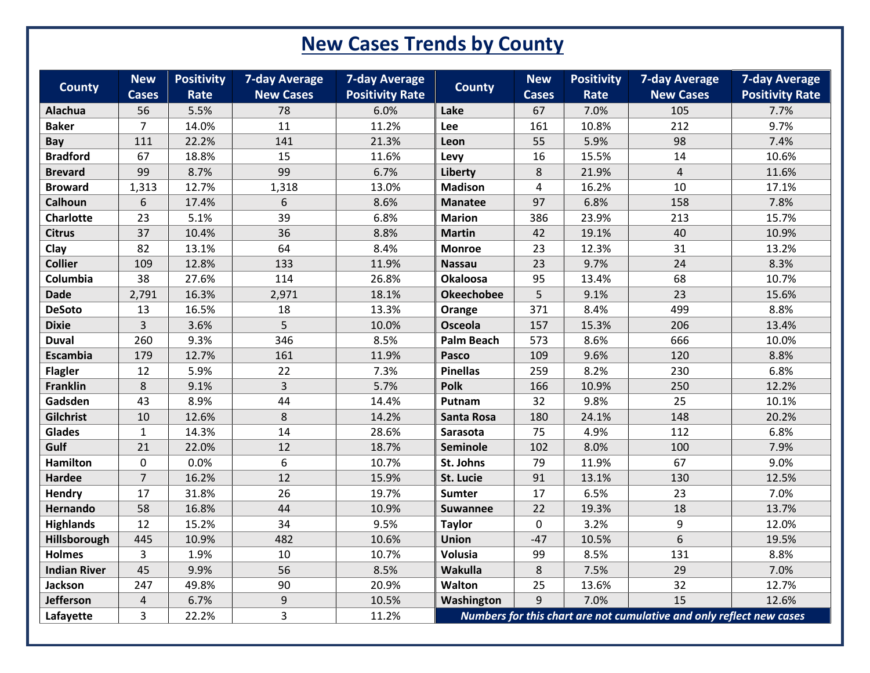# **New Cases Trends by County**

| <b>County</b>       | <b>New</b><br><b>Cases</b> | <b>Positivity</b><br>Rate | <b>7-day Average</b><br><b>New Cases</b> | <b>7-day Average</b><br><b>Positivity Rate</b> | <b>County</b>     | <b>New</b><br><b>Cases</b> | <b>Positivity</b><br>Rate | <b>7-day Average</b><br><b>New Cases</b>                             | <b>7-day Average</b><br><b>Positivity Rate</b> |
|---------------------|----------------------------|---------------------------|------------------------------------------|------------------------------------------------|-------------------|----------------------------|---------------------------|----------------------------------------------------------------------|------------------------------------------------|
| Alachua             | 56                         | 5.5%                      | 78                                       | 6.0%                                           | Lake              | 67                         | 7.0%                      | 105                                                                  | 7.7%                                           |
| <b>Baker</b>        | $\overline{7}$             | 14.0%                     | 11                                       | 11.2%                                          | Lee               | 161                        | 10.8%                     | 212                                                                  | 9.7%                                           |
| <b>Bay</b>          | 111                        | 22.2%                     | 141                                      | 21.3%                                          | Leon              | 55                         | 5.9%                      | 98                                                                   | 7.4%                                           |
| <b>Bradford</b>     | 67                         | 18.8%                     | 15                                       | 11.6%                                          | Levy              | 16                         | 15.5%                     | 14                                                                   | 10.6%                                          |
| <b>Brevard</b>      | 99                         | 8.7%                      | 99                                       | 6.7%                                           | Liberty           | 8                          | 21.9%                     | $\overline{4}$                                                       | 11.6%                                          |
| <b>Broward</b>      | 1,313                      | 12.7%                     | 1,318                                    | 13.0%                                          | <b>Madison</b>    | 4                          | 16.2%                     | 10                                                                   | 17.1%                                          |
| Calhoun             | 6                          | 17.4%                     | 6                                        | 8.6%                                           | <b>Manatee</b>    | 97                         | 6.8%                      | 158                                                                  | 7.8%                                           |
| <b>Charlotte</b>    | 23                         | 5.1%                      | 39                                       | 6.8%                                           | <b>Marion</b>     | 386                        | 23.9%                     | 213                                                                  | 15.7%                                          |
| <b>Citrus</b>       | 37                         | 10.4%                     | 36                                       | 8.8%                                           | <b>Martin</b>     | 42                         | 19.1%                     | 40                                                                   | 10.9%                                          |
| Clay                | 82                         | 13.1%                     | 64                                       | 8.4%                                           | <b>Monroe</b>     | 23                         | 12.3%                     | 31                                                                   | 13.2%                                          |
| <b>Collier</b>      | 109                        | 12.8%                     | 133                                      | 11.9%                                          | <b>Nassau</b>     | 23                         | 9.7%                      | 24                                                                   | 8.3%                                           |
| Columbia            | 38                         | 27.6%                     | 114                                      | 26.8%                                          | <b>Okaloosa</b>   | 95                         | 13.4%                     | 68                                                                   | 10.7%                                          |
| <b>Dade</b>         | 2,791                      | 16.3%                     | 2,971                                    | 18.1%                                          | <b>Okeechobee</b> | 5                          | 9.1%                      | 23                                                                   | 15.6%                                          |
| <b>DeSoto</b>       | 13                         | 16.5%                     | 18                                       | 13.3%                                          | Orange            | 371                        | 8.4%                      | 499                                                                  | 8.8%                                           |
| <b>Dixie</b>        | $\overline{3}$             | 3.6%                      | 5                                        | 10.0%                                          | Osceola           | 157                        | 15.3%                     | 206                                                                  | 13.4%                                          |
| <b>Duval</b>        | 260                        | 9.3%                      | 346                                      | 8.5%                                           | <b>Palm Beach</b> | 573                        | 8.6%                      | 666                                                                  | 10.0%                                          |
| Escambia            | 179                        | 12.7%                     | 161                                      | 11.9%                                          | Pasco             | 109                        | 9.6%                      | 120                                                                  | 8.8%                                           |
| <b>Flagler</b>      | 12                         | 5.9%                      | 22                                       | 7.3%                                           | <b>Pinellas</b>   | 259                        | 8.2%                      | 230                                                                  | 6.8%                                           |
| Franklin            | 8                          | 9.1%                      | 3                                        | 5.7%                                           | Polk              | 166                        | 10.9%                     | 250                                                                  | 12.2%                                          |
| Gadsden             | 43                         | 8.9%                      | 44                                       | 14.4%                                          | Putnam            | 32                         | 9.8%                      | 25                                                                   | 10.1%                                          |
| Gilchrist           | 10                         | 12.6%                     | 8                                        | 14.2%                                          | <b>Santa Rosa</b> | 180                        | 24.1%                     | 148                                                                  | 20.2%                                          |
| Glades              | $1\,$                      | 14.3%                     | 14                                       | 28.6%                                          | Sarasota          | 75                         | 4.9%                      | 112                                                                  | 6.8%                                           |
| Gulf                | 21                         | 22.0%                     | 12                                       | 18.7%                                          | Seminole          | 102                        | 8.0%                      | 100                                                                  | 7.9%                                           |
| <b>Hamilton</b>     | 0                          | 0.0%                      | 6                                        | 10.7%                                          | St. Johns         | 79                         | 11.9%                     | 67                                                                   | 9.0%                                           |
| <b>Hardee</b>       | $\overline{7}$             | 16.2%                     | 12                                       | 15.9%                                          | St. Lucie         | 91                         | 13.1%                     | 130                                                                  | 12.5%                                          |
| Hendry              | 17                         | 31.8%                     | 26                                       | 19.7%                                          | Sumter            | 17                         | 6.5%                      | 23                                                                   | 7.0%                                           |
| Hernando            | 58                         | 16.8%                     | 44                                       | 10.9%                                          | <b>Suwannee</b>   | 22                         | 19.3%                     | 18                                                                   | 13.7%                                          |
| <b>Highlands</b>    | 12                         | 15.2%                     | 34                                       | 9.5%                                           | <b>Taylor</b>     | $\mathbf 0$                | 3.2%                      | 9                                                                    | 12.0%                                          |
| Hillsborough        | 445                        | 10.9%                     | 482                                      | 10.6%                                          | <b>Union</b>      | $-47$                      | 10.5%                     | 6                                                                    | 19.5%                                          |
| <b>Holmes</b>       | $\overline{3}$             | 1.9%                      | 10                                       | 10.7%                                          | Volusia           | 99                         | 8.5%                      | 131                                                                  | 8.8%                                           |
| <b>Indian River</b> | 45                         | 9.9%                      | 56                                       | 8.5%                                           | Wakulla           | 8                          | 7.5%                      | 29                                                                   | 7.0%                                           |
| Jackson             | 247                        | 49.8%                     | 90                                       | 20.9%                                          | Walton            | 25                         | 13.6%                     | 32                                                                   | 12.7%                                          |
| Jefferson           | 4                          | 6.7%                      | 9                                        | 10.5%                                          | Washington        | 9                          | 7.0%                      | 15                                                                   | 12.6%                                          |
| Lafayette           | $\overline{3}$             | 22.2%                     | $\overline{3}$                           | 11.2%                                          |                   |                            |                           | Numbers for this chart are not cumulative and only reflect new cases |                                                |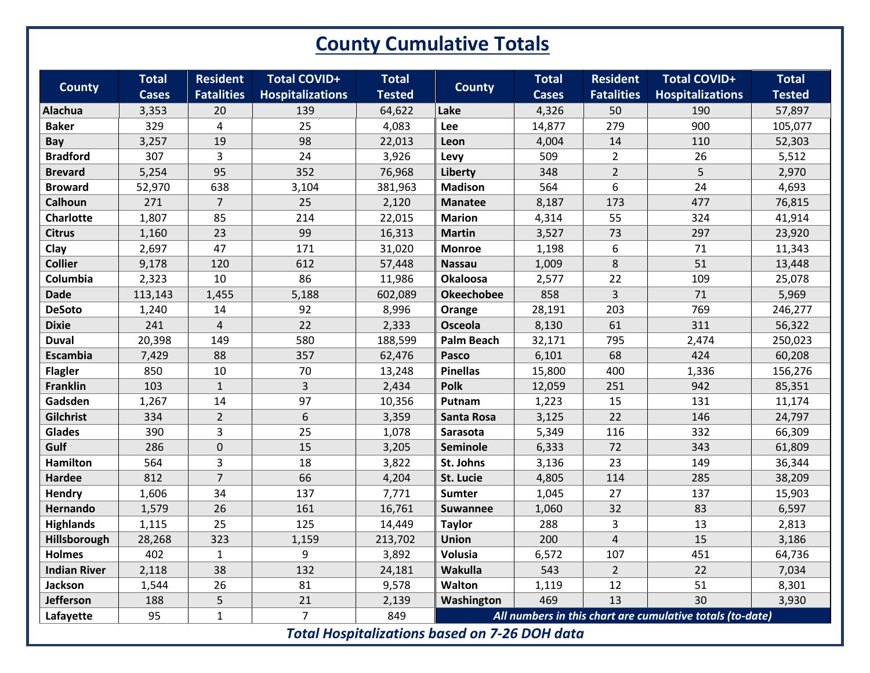# **County Cumulative Totals**

| <b>County</b>                                        | <b>Total</b> | <b>Resident</b>   | <b>Total COVID+</b>     | <b>Total</b>  | <b>County</b>     | <b>Total</b> | <b>Resident</b>   | <b>Total COVID+</b>                                       | <b>Total</b>  |
|------------------------------------------------------|--------------|-------------------|-------------------------|---------------|-------------------|--------------|-------------------|-----------------------------------------------------------|---------------|
|                                                      | <b>Cases</b> | <b>Fatalities</b> | <b>Hospitalizations</b> | <b>Tested</b> |                   | <b>Cases</b> | <b>Fatalities</b> | <b>Hospitalizations</b>                                   | <b>Tested</b> |
| Alachua                                              | 3,353        | 20                | 139                     | 64,622        | Lake              | 4,326        | 50                | 190                                                       | 57,897        |
| <b>Baker</b>                                         | 329          | $\overline{4}$    | 25                      | 4,083         | Lee               | 14,877       | 279               | 900                                                       | 105,077       |
| Bay                                                  | 3,257        | 19                | 98                      | 22,013        | Leon              | 4,004        | 14                | 110                                                       | 52,303        |
| <b>Bradford</b>                                      | 307          | 3                 | 24                      | 3,926         | Levy              | 509          | $\overline{2}$    | 26                                                        | 5,512         |
| <b>Brevard</b>                                       | 5,254        | 95                | 352                     | 76,968        | Liberty           | 348          | $\overline{2}$    | 5                                                         | 2,970         |
| <b>Broward</b>                                       | 52,970       | 638               | 3,104                   | 381,963       | <b>Madison</b>    | 564          | 6                 | 24                                                        | 4,693         |
| Calhoun                                              | 271          | $\overline{7}$    | 25                      | 2,120         | <b>Manatee</b>    | 8,187        | 173               | 477                                                       | 76,815        |
| Charlotte                                            | 1,807        | 85                | 214                     | 22,015        | <b>Marion</b>     | 4,314        | 55                | 324                                                       | 41,914        |
| <b>Citrus</b>                                        | 1,160        | 23                | 99                      | 16,313        | <b>Martin</b>     | 3,527        | 73                | 297                                                       | 23,920        |
| Clay                                                 | 2,697        | 47                | 171                     | 31,020        | <b>Monroe</b>     | 1,198        | 6                 | 71                                                        | 11,343        |
| <b>Collier</b>                                       | 9,178        | 120               | 612                     | 57,448        | <b>Nassau</b>     | 1,009        | $\,8\,$           | 51                                                        | 13,448        |
| Columbia                                             | 2,323        | 10                | 86                      | 11,986        | <b>Okaloosa</b>   | 2,577        | 22                | 109                                                       | 25,078        |
| <b>Dade</b>                                          | 113,143      | 1,455             | 5,188                   | 602,089       | <b>Okeechobee</b> | 858          | 3                 | 71                                                        | 5,969         |
| <b>DeSoto</b>                                        | 1,240        | 14                | 92                      | 8,996         | Orange            | 28,191       | 203               | 769                                                       | 246,277       |
| <b>Dixie</b>                                         | 241          | $\overline{4}$    | 22                      | 2,333         | Osceola           | 8,130        | 61                | 311                                                       | 56,322        |
| <b>Duval</b>                                         | 20,398       | 149               | 580                     | 188,599       | <b>Palm Beach</b> | 32,171       | 795               | 2,474                                                     | 250,023       |
| <b>Escambia</b>                                      | 7,429        | 88                | 357                     | 62,476        | Pasco             | 6,101        | 68                | 424                                                       | 60,208        |
| <b>Flagler</b>                                       | 850          | $10\,$            | 70                      | 13,248        | <b>Pinellas</b>   | 15,800       | 400               | 1,336                                                     | 156,276       |
| <b>Franklin</b>                                      | 103          | $\mathbf{1}$      | $\overline{3}$          | 2,434         | <b>Polk</b>       | 12,059       | 251               | 942                                                       | 85,351        |
| Gadsden                                              | 1,267        | 14                | 97                      | 10,356        | Putnam            | 1,223        | 15                | 131                                                       | 11,174        |
| Gilchrist                                            | 334          | $\overline{2}$    | 6                       | 3,359         | <b>Santa Rosa</b> | 3,125        | 22                | 146                                                       | 24,797        |
| <b>Glades</b>                                        | 390          | 3                 | 25                      | 1,078         | Sarasota          | 5,349        | 116               | 332                                                       | 66,309        |
| Gulf                                                 | 286          | 0                 | 15                      | 3,205         | Seminole          | 6,333        | 72                | 343                                                       | 61,809        |
| <b>Hamilton</b>                                      | 564          | 3                 | 18                      | 3,822         | St. Johns         | 3,136        | 23                | 149                                                       | 36,344        |
| <b>Hardee</b>                                        | 812          | $\overline{7}$    | 66                      | 4,204         | St. Lucie         | 4,805        | 114               | 285                                                       | 38,209        |
| Hendry                                               | 1,606        | 34                | 137                     | 7,771         | <b>Sumter</b>     | 1,045        | 27                | 137                                                       | 15,903        |
| Hernando                                             | 1,579        | 26                | 161                     | 16,761        | <b>Suwannee</b>   | 1,060        | 32                | 83                                                        | 6,597         |
| <b>Highlands</b>                                     | 1,115        | 25                | 125                     | 14,449        | <b>Taylor</b>     | 288          | 3                 | 13                                                        | 2,813         |
| Hillsborough                                         | 28,268       | 323               | 1,159                   | 213,702       | <b>Union</b>      | 200          | $\overline{4}$    | 15                                                        | 3,186         |
| <b>Holmes</b>                                        | 402          | $\mathbf{1}$      | 9                       | 3,892         | Volusia           | 6,572        | 107               | 451                                                       | 64,736        |
| <b>Indian River</b>                                  | 2,118        | 38                | 132                     | 24,181        | Wakulla           | 543          | $\overline{2}$    | 22                                                        | 7,034         |
| Jackson                                              | 1,544        | 26                | 81                      | 9,578         | Walton            | 1,119        | 12                | 51                                                        | 8,301         |
| <b>Jefferson</b>                                     | 188          | 5                 | 21                      | 2,139         | Washington        | 469          | 13                | 30                                                        | 3,930         |
| Lafayette                                            | 95           | $\mathbf{1}$      | $\overline{7}$          | 849           |                   |              |                   | All numbers in this chart are cumulative totals (to-date) |               |
| <b>Total Hospitalizations based on 7-26 DOH data</b> |              |                   |                         |               |                   |              |                   |                                                           |               |